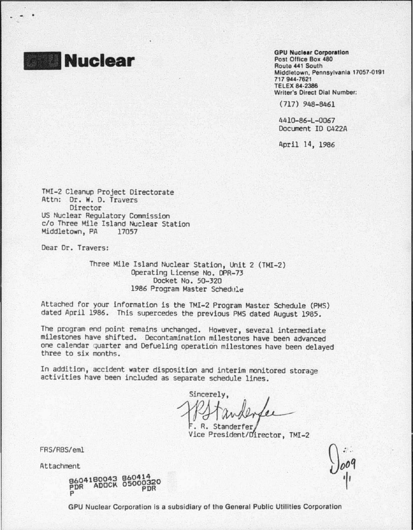

GPU Nuclear Corporation Post Office Box 480 Routo 441 South Middletown, Pennsylvania 17057·0191 717 944·7621 TELEX 84·2386 Writer's Direct Dial Number:

(717) 948-8461

4410-86-L-0067 Oocunent IO 0422A

April 14, 1986

TMI-2 Cleanup Project Directorate Attn: Dr. W. D. Travers Director US Nuclear Regulatory Commission c/o Three Mile Island Nuclear Station<br>Middletown, PA 17057 Middletown, PA

Dear Or. Travers:

Three Mile Island Nuclear Station, Unit 2 (TMI-2) Operating License No. DPR-73 Docket No. 50-320 1986 Program Master Schedule

Attached for your information is the TMI-2 Program Master Schedule (PMS) dated April 1986. This supercedes the previous PMS dated August 1985.

The program end point remains unchanged. However, several intermediate milestones have shifted. Decontamination milestones have been advanced one calendar quarter and Defueling operation milestones have been delayed<br>three to six months.

In addition, accident water disposition and interim monitored storage activities have been included as separate schedule lines.

Sincerely.

R. Standerfer Vice President/Director, TMI-2

FRS/RBS/eml

Attachment

8604180043 PDR ADOCK p 860414<br>05000320<br>PDR

GPU Nuclear Corporation Is a subsidiary of the General Public Utilities Corporation